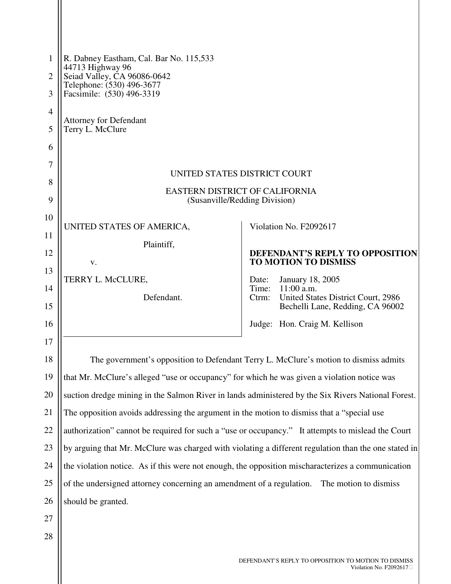| 1              | R. Dabney Eastham, Cal. Bar No. 115,533                                                              |                                                                                                     |  |
|----------------|------------------------------------------------------------------------------------------------------|-----------------------------------------------------------------------------------------------------|--|
| $\overline{2}$ | 44713 Highway 96<br>Seiad Valley, CA 96086-0642                                                      |                                                                                                     |  |
| 3              | Telephone: (530) 496-3677<br>Facsimile: (530) 496-3319                                               |                                                                                                     |  |
| $\overline{4}$ |                                                                                                      |                                                                                                     |  |
| 5              | <b>Attorney for Defendant</b><br>Terry L. McClure                                                    |                                                                                                     |  |
| 6              |                                                                                                      |                                                                                                     |  |
| 7              | UNITED STATES DISTRICT COURT                                                                         |                                                                                                     |  |
| 8              | <b>EASTERN DISTRICT OF CALIFORNIA</b>                                                                |                                                                                                     |  |
| 9              | (Susanville/Redding Division)                                                                        |                                                                                                     |  |
| 10             | UNITED STATES OF AMERICA,                                                                            | Violation No. F2092617                                                                              |  |
| 11             | Plaintiff,                                                                                           |                                                                                                     |  |
| 12             | V.                                                                                                   | <b>DEFENDANT'S REPLY TO OPPOSITION</b><br><b>TO MOTION TO DISMISS</b>                               |  |
| 13             | TERRY L. McCLURE,                                                                                    | Date:<br><b>January 18, 2005</b>                                                                    |  |
| 14<br>15       | Defendant.                                                                                           | Time: 11:00 a.m.<br>United States District Court, 2986<br>Ctrm:<br>Bechelli Lane, Redding, CA 96002 |  |
| 16             |                                                                                                      | Judge: Hon. Craig M. Kellison                                                                       |  |
| 17             |                                                                                                      |                                                                                                     |  |
| 18             | The government's opposition to Defendant Terry L. McClure's motion to dismiss admits                 |                                                                                                     |  |
| 19             | that Mr. McClure's alleged "use or occupancy" for which he was given a violation notice was          |                                                                                                     |  |
| 20             | suction dredge mining in the Salmon River in lands administered by the Six Rivers National Forest.   |                                                                                                     |  |
| 21             | The opposition avoids addressing the argument in the motion to dismiss that a "special use           |                                                                                                     |  |
| 22             | authorization" cannot be required for such a "use or occupancy." It attempts to mislead the Court    |                                                                                                     |  |
| 23             | by arguing that Mr. McClure was charged with violating a different regulation than the one stated in |                                                                                                     |  |
| 24             | the violation notice. As if this were not enough, the opposition mischaracterizes a communication    |                                                                                                     |  |
| 25             | of the undersigned attorney concerning an amendment of a regulation.<br>The motion to dismiss        |                                                                                                     |  |
| 26             | should be granted.                                                                                   |                                                                                                     |  |
| 27             |                                                                                                      |                                                                                                     |  |
| 28             |                                                                                                      |                                                                                                     |  |
|                |                                                                                                      | DEFENDANT'S REPLY TO OPPOSITION TO MOTION TO DISMISS                                                |  |

 $\frac{1}{2}$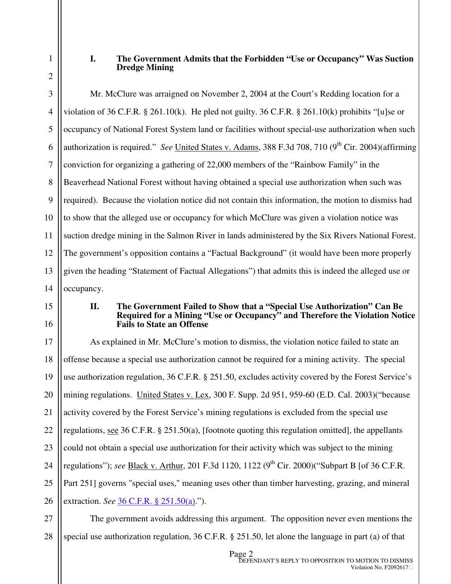1 2

## **I. The Government Admits that the Forbidden "Use or Occupancy" Was Suction Dredge Mining**

3 4 5 6 7 8 9 10 11 12 13 14 Mr. McClure was arraigned on November 2, 2004 at the Court's Redding location for a violation of 36 C.F.R. § 261.10(k). He pled not guilty. 36 C.F.R. § 261.10(k) prohibits "[u]se or occupancy of National Forest System land or facilities without special-use authorization when such authorization is required." *See* United States v. Adams, 388 F.3d 708, 710 (9<sup>th</sup> Cir. 2004)(affirming conviction for organizing a gathering of 22,000 members of the "Rainbow Family" in the Beaverhead National Forest without having obtained a special use authorization when such was required). Because the violation notice did not contain this information, the motion to dismiss had to show that the alleged use or occupancy for which McClure was given a violation notice was suction dredge mining in the Salmon River in lands administered by the Six Rivers National Forest. The government's opposition contains a "Factual Background" (it would have been more properly given the heading "Statement of Factual Allegations") that admits this is indeed the alleged use or occupancy.

15

16

## **II. The Government Failed to Show that a "Special Use Authorization" Can Be Required for a Mining "Use or Occupancy" and Therefore the Violation Notice Fails to State an Offense**

17 18 19 20 21 22 23 24 25 26 As explained in Mr. McClure's motion to dismiss, the violation notice failed to state an offense because a special use authorization cannot be required for a mining activity. The special use authorization regulation, 36 C.F.R. § 251.50, excludes activity covered by the Forest Service's mining regulations. United States v. Lex, 300 F. Supp. 2d 951, 959-60 (E.D. Cal. 2003)("because activity covered by the Forest Service's mining regulations is excluded from the special use regulations, see 36 C.F.R. § 251.50(a), [footnote quoting this regulation omitted], the appellants could not obtain a special use authorization for their activity which was subject to the mining regulations"); *see* <u>Black v. Arthur</u>, 201 F.3d 1120, 1122 (9<sup>th</sup> Cir. 2000)("Subpart B [of 36 C.F.R. Part 251] governs "special uses," meaning uses other than timber harvesting, grazing, and mineral extraction. *See* 36 C.F.R. § 251.50(a).").

27 28 The government avoids addressing this argument. The opposition never even mentions the special use authorization regulation, 36 C.F.R. § 251.50, let alone the language in part (a) of that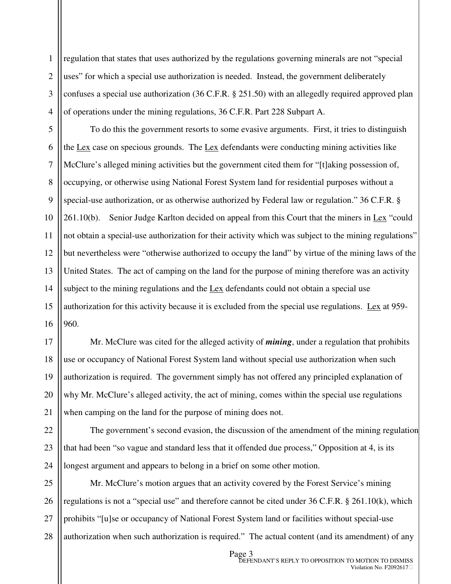1 2 3 4 regulation that states that uses authorized by the regulations governing minerals are not "special uses" for which a special use authorization is needed. Instead, the government deliberately confuses a special use authorization (36 C.F.R. § 251.50) with an allegedly required approved plan of operations under the mining regulations, 36 C.F.R. Part 228 Subpart A.

5 6 7 8 9 10 11 12 13 14 15 16 To do this the government resorts to some evasive arguments. First, it tries to distinguish the Lex case on specious grounds. The Lex defendants were conducting mining activities like McClure's alleged mining activities but the government cited them for "[t]aking possession of, occupying, or otherwise using National Forest System land for residential purposes without a special-use authorization, or as otherwise authorized by Federal law or regulation." 36 C.F.R. § 261.10(b). Senior Judge Karlton decided on appeal from this Court that the miners in  $Lex$  "could not obtain a special-use authorization for their activity which was subject to the mining regulations" but nevertheless were "otherwise authorized to occupy the land" by virtue of the mining laws of the United States. The act of camping on the land for the purpose of mining therefore was an activity subject to the mining regulations and the Lex defendants could not obtain a special use authorization for this activity because it is excluded from the special use regulations. Lex at 959- 960.

18 19 20 21 Mr. McClure was cited for the alleged activity of *mining*, under a regulation that prohibits use or occupancy of National Forest System land without special use authorization when such authorization is required. The government simply has not offered any principled explanation of why Mr. McClure's alleged activity, the act of mining, comes within the special use regulations when camping on the land for the purpose of mining does not.

17

22

23

24

The government's second evasion, the discussion of the amendment of the mining regulation that had been "so vague and standard less that it offended due process," Opposition at 4, is its longest argument and appears to belong in a brief on some other motion.

25 26 27 28 Mr. McClure's motion argues that an activity covered by the Forest Service's mining regulations is not a "special use" and therefore cannot be cited under 36 C.F.R. § 261.10(k), which prohibits "[u]se or occupancy of National Forest System land or facilities without special-use authorization when such authorization is required." The actual content (and its amendment) of any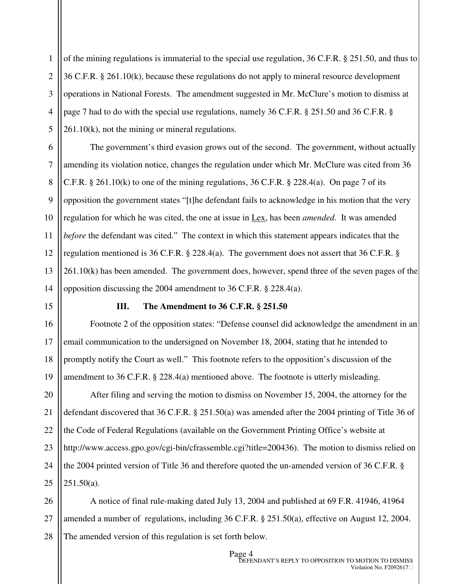1 2 3 4 5 of the mining regulations is immaterial to the special use regulation, 36 C.F.R. § 251.50, and thus to 36 C.F.R. § 261.10(k), because these regulations do not apply to mineral resource development operations in National Forests. The amendment suggested in Mr. McClure's motion to dismiss at page 7 had to do with the special use regulations, namely 36 C.F.R. § 251.50 and 36 C.F.R. § 261.10(k), not the mining or mineral regulations.

6 7 8 9 10 11 12 13 14 The government's third evasion grows out of the second. The government, without actually amending its violation notice, changes the regulation under which Mr. McClure was cited from 36 C.F.R. § 261.10(k) to one of the mining regulations, 36 C.F.R. § 228.4(a). On page 7 of its opposition the government states "[t]he defendant fails to acknowledge in his motion that the very regulation for which he was cited, the one at issue in Lex, has been *amended*. It was amended *before* the defendant was cited." The context in which this statement appears indicates that the regulation mentioned is 36 C.F.R. § 228.4(a). The government does not assert that 36 C.F.R. § 261.10(k) has been amended. The government does, however, spend three of the seven pages of the opposition discussing the 2004 amendment to 36 C.F.R. § 228.4(a).

15

16

17

18

19

## **III. The Amendment to 36 C.F.R. § 251.50**

Footnote 2 of the opposition states: "Defense counsel did acknowledge the amendment in an email communication to the undersigned on November 18, 2004, stating that he intended to promptly notify the Court as well." This footnote refers to the opposition's discussion of the amendment to 36 C.F.R. § 228.4(a) mentioned above. The footnote is utterly misleading.

20 21 22 23 24 25 After filing and serving the motion to dismiss on November 15, 2004, the attorney for the defendant discovered that 36 C.F.R. § 251.50(a) was amended after the 2004 printing of Title 36 of the Code of Federal Regulations (available on the Government Printing Office's website at http://www.access.gpo.gov/cgi-bin/cfrassemble.cgi?title=200436). The motion to dismiss relied on the 2004 printed version of Title 36 and therefore quoted the un-amended version of 36 C.F.R. § 251.50(a).

26 27 28 A notice of final rule-making dated July 13, 2004 and published at 69 F.R. 41946, 41964 amended a number of regulations, including 36 C.F.R. § 251.50(a), effective on August 12, 2004. The amended version of this regulation is set forth below.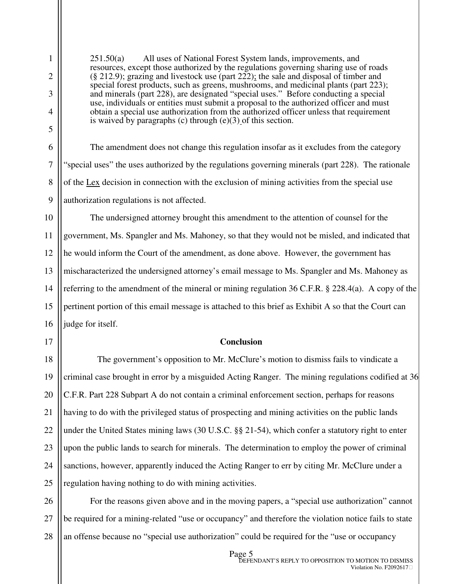1

251.50(a) All uses of National Forest System lands, improvements, and resources, except those authorized by the regulations governing sharing use of roads (§ 212.9); grazing and livestock use (part 222); the sale and disposal of timber and special forest products, such as greens, mushrooms, and medicinal plants (part 223); and minerals (part 228), are designated "special uses." Before conducting a special use, individuals or entities must submit a proposal to the authorized officer and must obtain a special use authorization from the authorized officer unless that requirement is waived by paragraphs (c) through (e)(3) of this section.

The amendment does not change this regulation insofar as it excludes from the category "special uses" the uses authorized by the regulations governing minerals (part 228). The rationale of the  $Lex$  decision in connection with the exclusion of mining activities from the special use authorization regulations is not affected.

The undersigned attorney brought this amendment to the attention of counsel for the government, Ms. Spangler and Ms. Mahoney, so that they would not be misled, and indicated that he would inform the Court of the amendment, as done above. However, the government has mischaracterized the undersigned attorney's email message to Ms. Spangler and Ms. Mahoney as referring to the amendment of the mineral or mining regulation 36 C.F.R. § 228.4(a). A copy of the pertinent portion of this email message is attached to this brief as Exhibit A so that the Court can judge for itself.

## **Conclusion**

The government's opposition to Mr. McClure's motion to dismiss fails to vindicate a criminal case brought in error by a misguided Acting Ranger. The mining regulations codified at 36 C.F.R. Part 228 Subpart A do not contain a criminal enforcement section, perhaps for reasons having to do with the privileged status of prospecting and mining activities on the public lands under the United States mining laws (30 U.S.C. §§ 21-54), which confer a statutory right to enter upon the public lands to search for minerals. The determination to employ the power of criminal sanctions, however, apparently induced the Acting Ranger to err by citing Mr. McClure under a regulation having nothing to do with mining activities.

27 28 For the reasons given above and in the moving papers, a "special use authorization" cannot be required for a mining-related "use or occupancy" and therefore the violation notice fails to state an offense because no "special use authorization" could be required for the "use or occupancy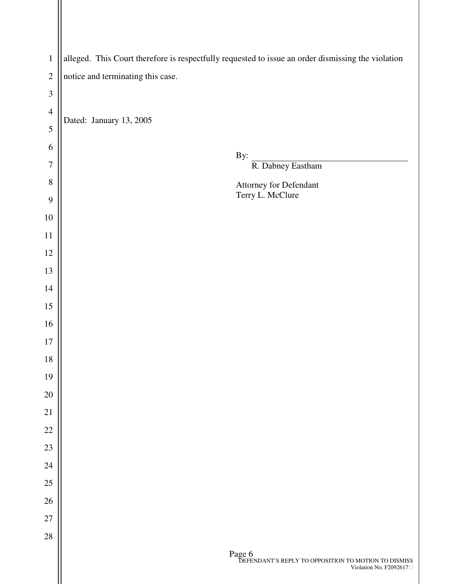| $\,1\,$        | alleged. This Court therefore is respectfully requested to issue an order dismissing the violation                                    |  |  |
|----------------|---------------------------------------------------------------------------------------------------------------------------------------|--|--|
| $\overline{c}$ | notice and terminating this case.                                                                                                     |  |  |
| 3              |                                                                                                                                       |  |  |
| $\overline{4}$ |                                                                                                                                       |  |  |
| 5              | Dated: January 13, 2005                                                                                                               |  |  |
| 6              |                                                                                                                                       |  |  |
| $\overline{7}$ | By:<br>R. Dabney Eastham                                                                                                              |  |  |
| 8              | Attorney for Defendant                                                                                                                |  |  |
| 9              | Terry L. McClure                                                                                                                      |  |  |
| $10\,$         |                                                                                                                                       |  |  |
| $11\,$         |                                                                                                                                       |  |  |
| 12             |                                                                                                                                       |  |  |
| 13             |                                                                                                                                       |  |  |
| 14             |                                                                                                                                       |  |  |
| 15             |                                                                                                                                       |  |  |
| 16             |                                                                                                                                       |  |  |
| 17             |                                                                                                                                       |  |  |
| $18\,$         |                                                                                                                                       |  |  |
| 19             |                                                                                                                                       |  |  |
| 20             |                                                                                                                                       |  |  |
| 21             |                                                                                                                                       |  |  |
| $22\,$         |                                                                                                                                       |  |  |
| $23\,$         |                                                                                                                                       |  |  |
| 24             |                                                                                                                                       |  |  |
| $25\,$         |                                                                                                                                       |  |  |
| 26             |                                                                                                                                       |  |  |
| $27\,$         |                                                                                                                                       |  |  |
| $28\,$         |                                                                                                                                       |  |  |
|                | $\begin{array}{c} \text{Page 6} \\ \text{DEFENDANT'S REPLY TO OPPOSITION TO MOTION TO DISMISS} \end{array}$<br>Violation No. F2092617 |  |  |